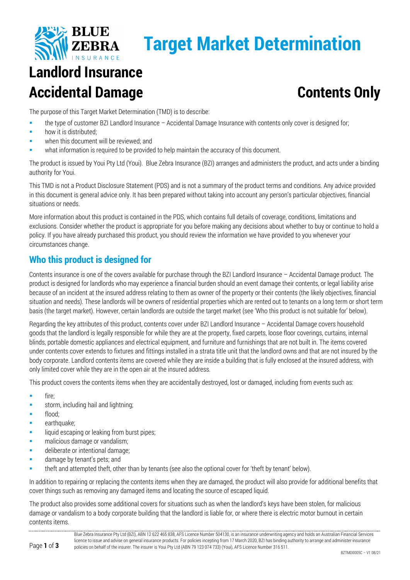

# **Target Market Determination**

## **Landlord Insurance Accidental Damage Contents Only**

The purpose of this Target Market Determination (TMD) is to describe:

- the type of customer BZI Landlord Insurance Accidental Damage Insurance with contents only cover is designed for;
- how it is distributed;
- when this document will be reviewed; and
- what information is required to be provided to help maintain the accuracy of this document.

The product is issued by Youi Pty Ltd (Youi). Blue Zebra Insurance (BZI) arranges and administers the product, and acts under a binding authority for Youi.

This TMD is not a Product Disclosure Statement (PDS) and is not a summary of the product terms and conditions. Any advice provided in this document is general advice only. It has been prepared without taking into account any person's particular objectives, financial situations or needs.

More information about this product is contained in the PDS, which contains full details of coverage, conditions, limitations and exclusions. Consider whether the product is appropriate for you before making any decisions about whether to buy or continue to hold a policy. If you have already purchased this product, you should review the information we have provided to you whenever your circumstances change.

### **Who this product is designed for**

Contents insurance is one of the covers available for purchase through the BZI Landlord Insurance – Accidental Damage product. The product is designed for landlords who may experience a financial burden should an event damage their contents, or legal liability arise because of an incident at the insured address relating to them as owner of the property or their contents (the likely objectives, financial situation and needs). These landlords will be owners of residential properties which are rented out to tenants on a long term or short term basis (the target market). However, certain landlords are outside the target market (see 'Who this product is not suitable for' below).

Regarding the key attributes of this product, contents cover under BZI Landlord Insurance – Accidental Damage covers household goods that the landlord is legally responsible for while they are at the property, fixed carpets, loose floor coverings, curtains, internal blinds, portable domestic appliances and electrical equipment, and furniture and furnishings that are not built in. The items covered under contents cover extends to fixtures and fittings installed in a strata title unit that the landlord owns and that are not insured by the body corporate. Landlord contents items are covered while they are inside a building that is fully enclosed at the insured address, with only limited cover while they are in the open air at the insured address.

This product covers the contents items when they are accidentally destroyed, lost or damaged, including from events such as:

- **fire**;
- storm, including hail and lightning;
- flood;

Page **1** of **3**

- **earthquake;**
- **Iliquid escaping or leaking from burst pipes;**
- malicious damage or vandalism;
- deliberate or intentional damage;
- **damage by tenant's pets; and**
- theft and attempted theft, other than by tenants (see also the optional cover for 'theft by tenant' below).

In addition to repairing or replacing the contents items when they are damaged, the product will also provide for additional benefits that cover things such as removing any damaged items and locating the source of escaped liquid.

The product also provides some additional covers for situations such as when the landlord's keys have been stolen, for malicious damage or vandalism to a body corporate building that the landlord is liable for, or where there is electric motor burnout in certain contents items.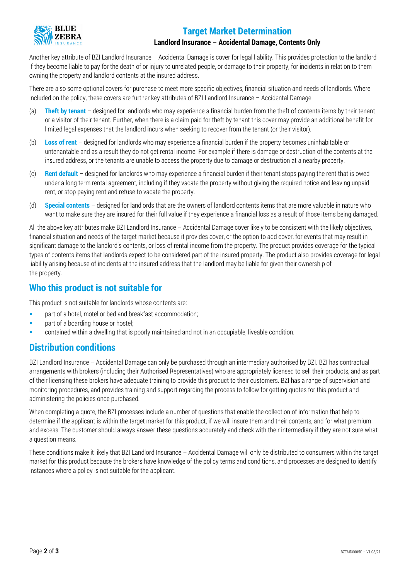

#### **Target Market Determination**

#### **Landlord Insurance – Accidental Damage, Contents Only**

Another key attribute of BZI Landlord Insurance – Accidental Damage is cover for legal liability. This provides protection to the landlord if they become liable to pay for the death of or injury to unrelated people, or damage to their property, for incidents in relation to them owning the property and landlord contents at the insured address.

There are also some optional covers for purchase to meet more specific objectives, financial situation and needs of landlords. Where included on the policy, these covers are further key attributes of BZI Landlord Insurance – Accidental Damage:

- (a) **Theft by tenant** designed for landlords who may experience a financial burden from the theft of contents items by their tenant or a visitor of their tenant. Further, when there is a claim paid for theft by tenant this cover may provide an additional benefit for limited legal expenses that the landlord incurs when seeking to recover from the tenant (or their visitor).
- (b) **Loss of rent** designed for landlords who may experience a financial burden if the property becomes uninhabitable or untenantable and as a result they do not get rental income. For example if there is damage or destruction of the contents at the insured address, or the tenants are unable to access the property due to damage or destruction at a nearby property.
- (c) **Rent default** designed for landlords who may experience a financial burden if their tenant stops paying the rent that is owed under a long term rental agreement, including if they vacate the property without giving the required notice and leaving unpaid rent, or stop paying rent and refuse to vacate the property.
- (d) **Special contents** designed for landlords that are the owners of landlord contents items that are more valuable in nature who want to make sure they are insured for their full value if they experience a financial loss as a result of those items being damaged.

All the above key attributes make BZI Landlord Insurance – Accidental Damage cover likely to be consistent with the likely objectives, financial situation and needs of the target market because it provides cover, or the option to add cover, for events that may result in significant damage to the landlord's contents, or loss of rental income from the property. The product provides coverage for the typical types of contents items that landlords expect to be considered part of the insured property. The product also provides coverage for legal liability arising because of incidents at the insured address that the landlord may be liable for given their ownership of the property.

#### **Who this product is not suitable for**

This product is not suitable for landlords whose contents are:

- **Part of a hotel, motel or bed and breakfast accommodation;**
- part of a boarding house or hostel;
- contained within a dwelling that is poorly maintained and not in an occupiable, liveable condition.

#### **Distribution conditions**

BZI Landlord Insurance – Accidental Damage can only be purchased through an intermediary authorised by BZI. BZI has contractual arrangements with brokers (including their Authorised Representatives) who are appropriately licensed to sell their products, and as part of their licensing these brokers have adequate training to provide this product to their customers. BZI has a range of supervision and monitoring procedures, and provides training and support regarding the process to follow for getting quotes for this product and administering the policies once purchased.

When completing a quote, the BZI processes include a number of questions that enable the collection of information that help to determine if the applicant is within the target market for this product, if we will insure them and their contents, and for what premium and excess. The customer should always answer these questions accurately and check with their intermediary if they are not sure what a question means.

These conditions make it likely that BZI Landlord Insurance – Accidental Damage will only be distributed to consumers within the target market for this product because the brokers have knowledge of the policy terms and conditions, and processes are designed to identify instances where a policy is not suitable for the applicant.